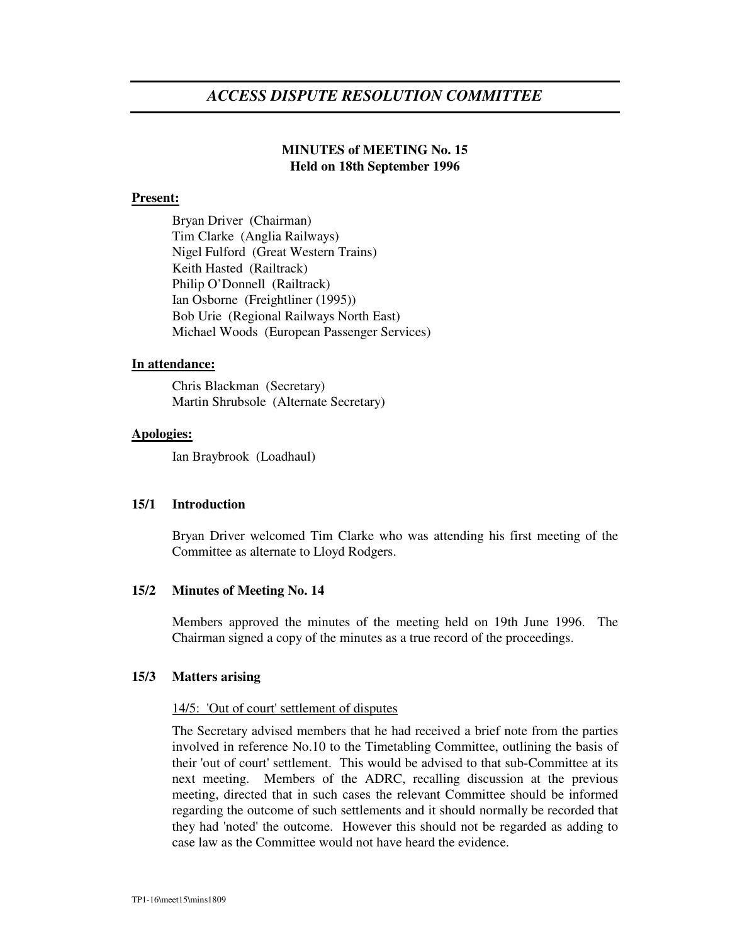# *ACCESS DISPUTE RESOLUTION COMMITTEE*

# **MINUTES of MEETING No. 15 Held on 18th September 1996**

#### **Present:**

Bryan Driver (Chairman) Tim Clarke (Anglia Railways) Nigel Fulford (Great Western Trains) Keith Hasted (Railtrack) Philip O'Donnell (Railtrack) Ian Osborne (Freightliner (1995)) Bob Urie (Regional Railways North East) Michael Woods (European Passenger Services)

#### **In attendance:**

Chris Blackman (Secretary) Martin Shrubsole (Alternate Secretary)

#### **Apologies:**

Ian Braybrook (Loadhaul)

# **15/1 Introduction**

Bryan Driver welcomed Tim Clarke who was attending his first meeting of the Committee as alternate to Lloyd Rodgers.

## **15/2 Minutes of Meeting No. 14**

Members approved the minutes of the meeting held on 19th June 1996. The Chairman signed a copy of the minutes as a true record of the proceedings.

#### **15/3 Matters arising**

#### 14/5: 'Out of court'settlement of disputes

The Secretary advised members that he had received a brief note from the parties involved in reference No.10 to the Timetabling Committee, outlining the basis of their 'out of court'settlement. This would be advised to that sub-Committee at its next meeting. Members of the ADRC, recalling discussion at the previous meeting, directed that in such cases the relevant Committee should be informed regarding the outcome of such settlements and it should normally be recorded that they had 'noted'the outcome. However this should not be regarded as adding to case law as the Committee would not have heard the evidence.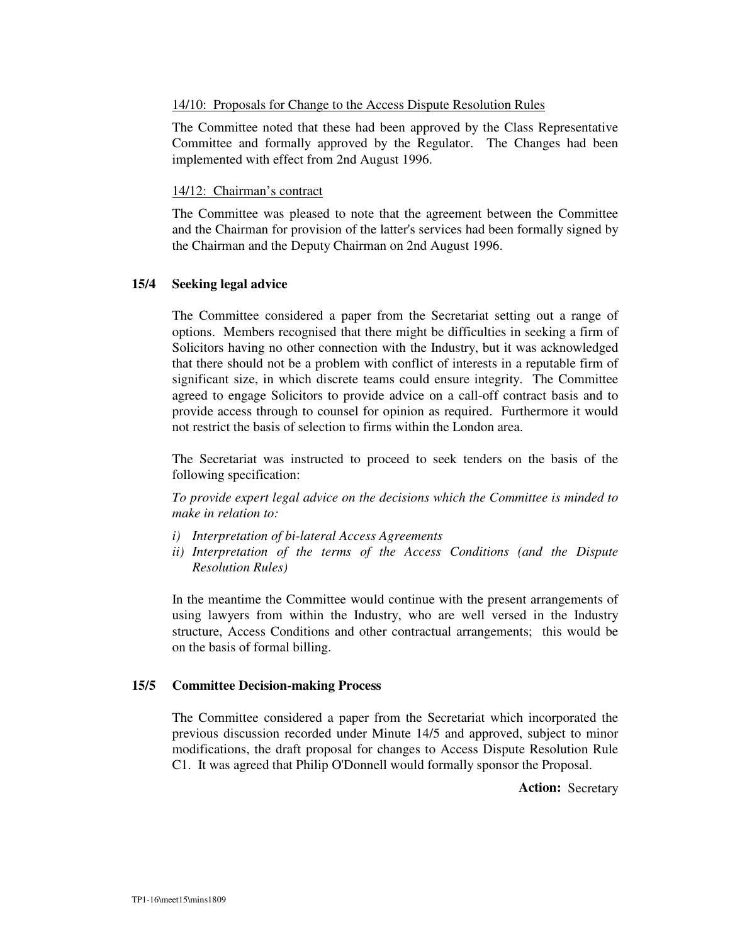# 14/10: Proposals for Change to the Access Dispute Resolution Rules

The Committee noted that these had been approved by the Class Representative Committee and formally approved by the Regulator. The Changes had been implemented with effect from 2nd August 1996.

# 14/12: Chairman's contract

The Committee was pleased to note that the agreement between the Committee and the Chairman for provision of the latter's services had been formally signed by the Chairman and the Deputy Chairman on 2nd August 1996.

# **15/4 Seeking legal advice**

The Committee considered a paper from the Secretariat setting out a range of options. Members recognised that there might be difficulties in seeking a firm of Solicitors having no other connection with the Industry, but it was acknowledged that there should not be a problem with conflict of interests in a reputable firm of significant size, in which discrete teams could ensure integrity. The Committee agreed to engage Solicitors to provide advice on a call-off contract basis and to provide access through to counsel for opinion as required. Furthermore it would not restrict the basis of selection to firms within the London area.

The Secretariat was instructed to proceed to seek tenders on the basis of the following specification:

*To provide expert legal advice on the decisions which the Committee is minded to make in relation to:*

- *i) Interpretation of bi-lateral Access Agreements*
- *ii) Interpretation of the terms of the Access Conditions (and the Dispute Resolution Rules)*

In the meantime the Committee would continue with the present arrangements of using lawyers from within the Industry, who are well versed in the Industry structure, Access Conditions and other contractual arrangements; this would be on the basis of formal billing.

# **15/5 Committee Decision-making Process**

The Committee considered a paper from the Secretariat which incorporated the previous discussion recorded under Minute 14/5 and approved, subject to minor modifications, the draft proposal for changes to Access Dispute Resolution Rule C1. It was agreed that Philip O'Donnell would formally sponsor the Proposal.

**Action:** Secretary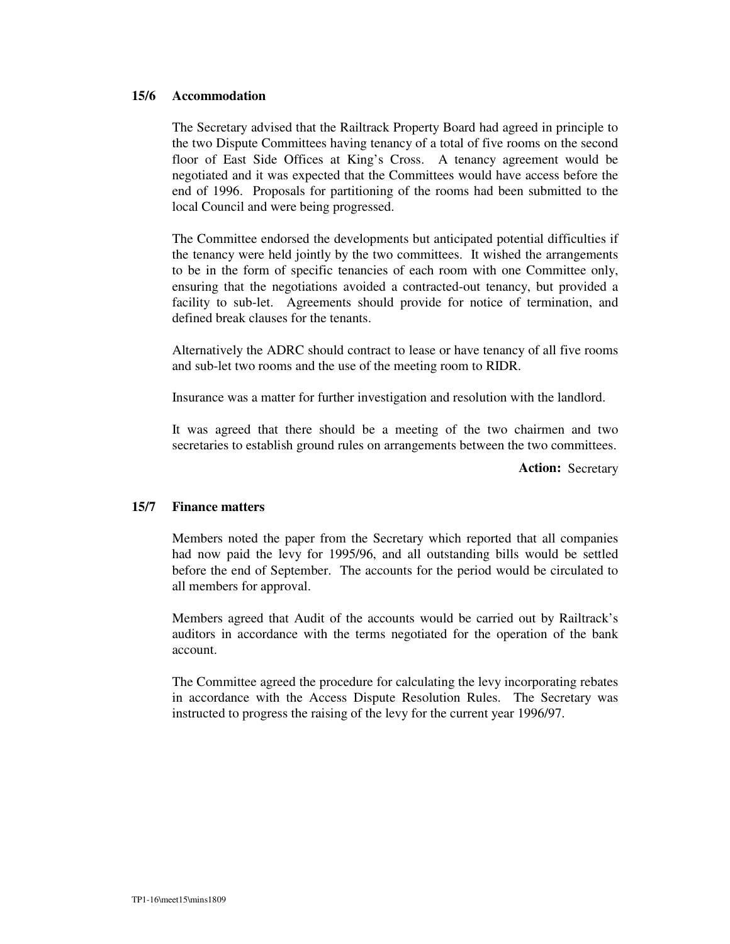#### **15/6 Accommodation**

The Secretary advised that the Railtrack Property Board had agreed in principle to the two Dispute Committees having tenancy of a total of five rooms on the second floor of East Side Offices at King's Cross. A tenancy agreement would be negotiated and it was expected that the Committees would have access before the end of 1996. Proposals for partitioning of the rooms had been submitted to the local Council and were being progressed.

The Committee endorsed the developments but anticipated potential difficulties if the tenancy were held jointly by the two committees. It wished the arrangements to be in the form of specific tenancies of each room with one Committee only, ensuring that the negotiations avoided a contracted-out tenancy, but provided a facility to sub-let. Agreements should provide for notice of termination, and defined break clauses for the tenants.

Alternatively the ADRC should contract to lease or have tenancy of all five rooms and sub-let two rooms and the use of the meeting room to RIDR.

Insurance was a matter for further investigation and resolution with the landlord.

It was agreed that there should be a meeting of the two chairmen and two secretaries to establish ground rules on arrangements between the two committees.

**Action:** Secretary

# **15/7 Finance matters**

Members noted the paper from the Secretary which reported that all companies had now paid the levy for 1995/96, and all outstanding bills would be settled before the end of September. The accounts for the period would be circulated to all members for approval.

Members agreed that Audit of the accounts would be carried out by Railtrack's auditors in accordance with the terms negotiated for the operation of the bank account.

The Committee agreed the procedure for calculating the levy incorporating rebates in accordance with the Access Dispute Resolution Rules. The Secretary was instructed to progress the raising of the levy for the current year 1996/97.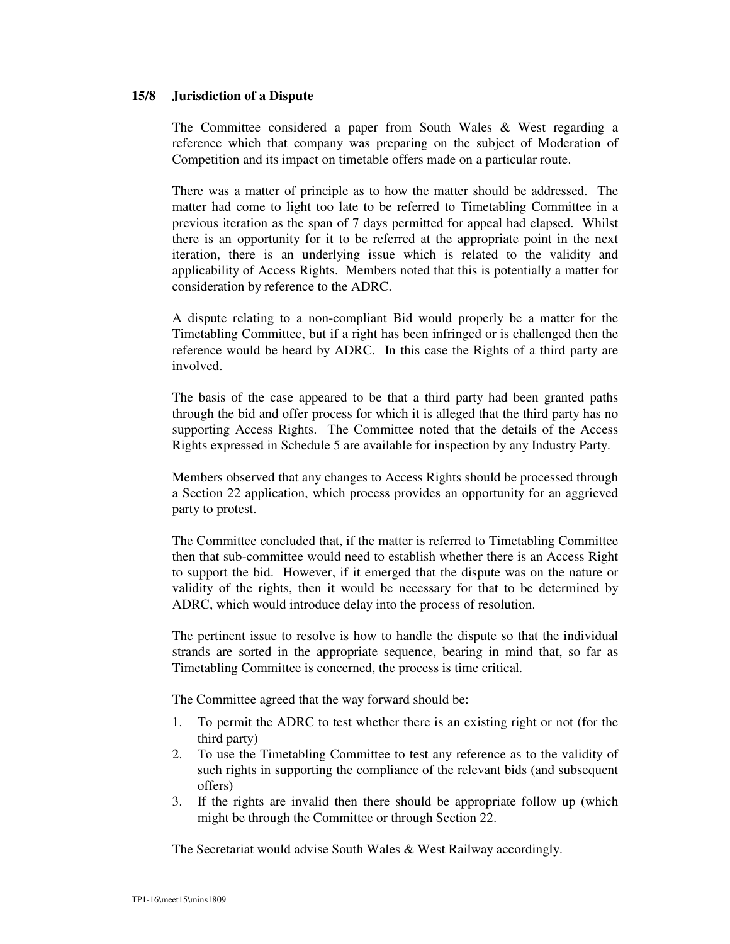# **15/8 Jurisdiction of a Dispute**

The Committee considered a paper from South Wales & West regarding a reference which that company was preparing on the subject of Moderation of Competition and its impact on timetable offers made on a particular route.

There was a matter of principle as to how the matter should be addressed. The matter had come to light too late to be referred to Timetabling Committee in a previous iteration as the span of 7 days permitted for appeal had elapsed. Whilst there is an opportunity for it to be referred at the appropriate point in the next iteration, there is an underlying issue which is related to the validity and applicability of Access Rights. Members noted that this is potentially a matter for consideration by reference to the ADRC.

A dispute relating to a non-compliant Bid would properly be a matter for the Timetabling Committee, but if a right has been infringed or is challenged then the reference would be heard by ADRC. In this case the Rights of a third party are involved.

The basis of the case appeared to be that a third party had been granted paths through the bid and offer process for which it is alleged that the third party has no supporting Access Rights. The Committee noted that the details of the Access Rights expressed in Schedule 5 are available for inspection by any Industry Party.

Members observed that any changes to Access Rights should be processed through a Section 22 application, which process provides an opportunity for an aggrieved party to protest.

The Committee concluded that, if the matter is referred to Timetabling Committee then that sub-committee would need to establish whether there is an Access Right to support the bid. However, if it emerged that the dispute was on the nature or validity of the rights, then it would be necessary for that to be determined by ADRC, which would introduce delay into the process of resolution.

The pertinent issue to resolve is how to handle the dispute so that the individual strands are sorted in the appropriate sequence, bearing in mind that, so far as Timetabling Committee is concerned, the process is time critical.

The Committee agreed that the way forward should be:

- 1. To permit the ADRC to test whether there is an existing right or not (for the third party)
- 2. To use the Timetabling Committee to test any reference as to the validity of such rights in supporting the compliance of the relevant bids (and subsequent offers)
- 3. If the rights are invalid then there should be appropriate follow up (which might be through the Committee or through Section 22.

The Secretariat would advise South Wales & West Railway accordingly.